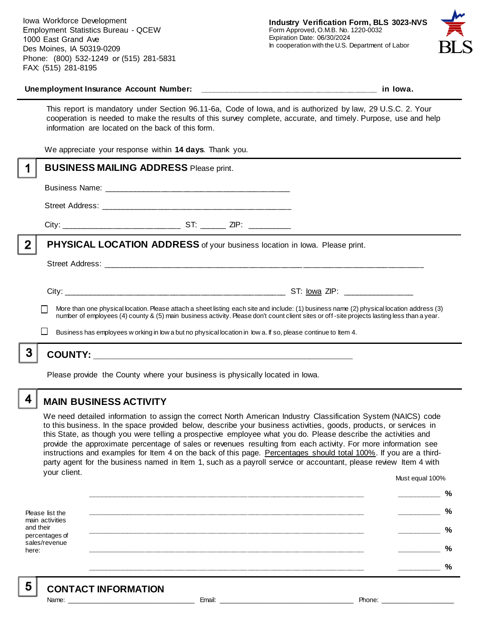Iowa Workforce Development Employment Statistics Bureau - QCEW 1000 East Grand Ave Des Moines, IA 50319-0209 Phone: (800) 532-1249 or (515) 281-5831 FAX: (515) 281-8195



#### **Unemployment Insurance Account Number: \_\_\_\_\_\_\_\_\_\_\_\_\_\_\_\_\_\_\_\_\_\_\_\_\_\_\_\_\_\_\_\_\_\_\_\_\_\_\_\_ in Iowa.**

This report is mandatory under Section 96.11-6a, Code of Iowa, and is authorized by law, 29 U.S.C. 2. Your cooperation is needed to make the results of this survey complete, accurate, and timely. Purpose, use and help information are located on the back of this form.

We appreciate your response within **14 days**. Thank you.

|   | <b>BUSINESS MAILING ADDRESS Please print.</b>                                                                                               |
|---|---------------------------------------------------------------------------------------------------------------------------------------------|
|   |                                                                                                                                             |
|   |                                                                                                                                             |
|   |                                                                                                                                             |
| 2 | <b>PHYSICAL LOCATION ADDRESS</b> of your business location in lowa. Please print.                                                           |
|   |                                                                                                                                             |
|   | More than one physical location. Please attach a sheet listing each site and include: (1) business name (2) physical location address (3)   |
|   | number of employees (4) county & (5) main business activity. Please don't count client sites or off-site projects lasting less than a year. |
|   | Business has employees w orking in low a but no physical location in low a. If so, please continue to Item 4.                               |
| 3 |                                                                                                                                             |
|   | Please provide the County where your business is physically located in lowa.                                                                |

# **MAIN BUSINESS ACTIVITY**

We need detailed information to assign the correct North American Industry Classification System (NAICS) code to this business. In the space provided below, describe your business activities, goods, products, or services in this State, as though you were telling a prospective employee what you do. Please describe the activities and provide the approximate percentage of sales or revenues resulting from each activity. For more information see instructions and examples for Item 4 on the back of this page. Percentages should total 100%. If you are a thirdparty agent for the business named in Item 1, such as a payroll service or accountant, please review Item 4 with your client. Must equal 100%

Please list the main activities and their percentages of sales/revenue here: **\_\_\_\_\_\_\_\_\_\_\_\_\_\_\_\_\_\_\_\_\_\_\_\_\_\_\_\_\_\_\_\_\_\_\_\_\_\_\_\_\_\_\_\_\_\_\_\_\_\_\_\_\_\_\_\_\_\_\_\_\_\_ \_\_\_\_\_\_\_\_\_\_ % \_\_\_\_\_\_\_\_\_\_\_\_\_\_\_\_\_\_\_\_\_\_\_\_\_\_\_\_\_\_\_\_\_\_\_\_\_\_\_\_\_\_\_\_\_\_\_\_\_\_\_\_\_\_\_\_\_\_\_\_\_\_ \_\_\_\_\_\_\_\_\_\_ % \_\_\_\_\_\_\_\_\_\_\_\_\_\_\_\_\_\_\_\_\_\_\_\_\_\_\_\_\_\_\_\_\_\_\_\_\_\_\_\_\_\_\_\_\_\_\_\_\_\_\_\_\_\_\_\_\_\_\_\_\_\_ \_\_\_\_\_\_\_\_\_\_ % \_\_\_\_\_\_\_\_\_\_\_\_\_\_\_\_\_\_\_\_\_\_\_\_\_\_\_\_\_\_\_\_\_\_\_\_\_\_\_\_\_\_\_\_\_\_\_\_\_\_\_\_\_\_\_\_\_\_\_\_\_\_ \_\_\_\_\_\_\_\_\_\_ % \_\_\_\_\_\_\_\_\_\_\_\_\_\_\_\_\_\_\_\_\_\_\_\_\_\_\_\_\_\_\_\_\_\_\_\_\_\_\_\_\_\_\_\_\_\_\_\_\_\_\_\_\_\_\_\_\_\_\_\_\_\_ \_\_\_\_\_\_\_\_\_\_ %**

5

4